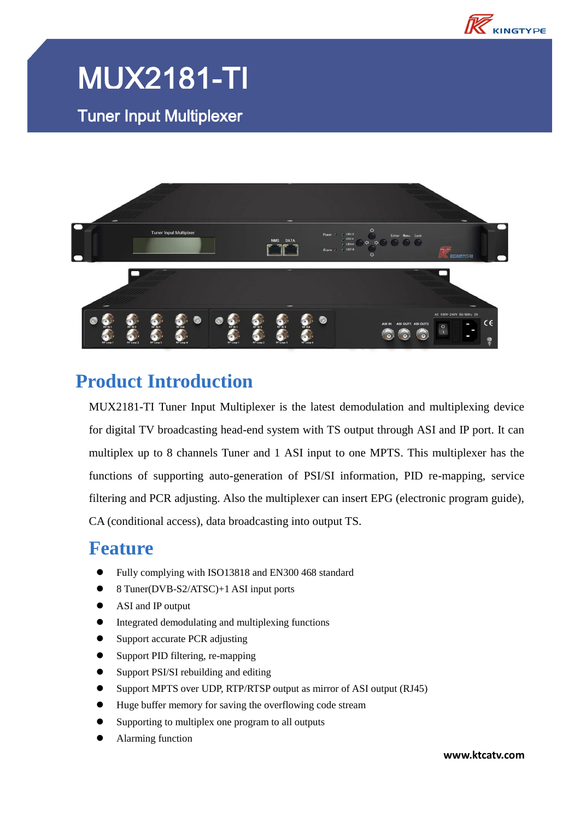

## MUX2181-TI

Tuner Input Multiplexer



### **Product Introduction**

MUX2181-TI Tuner Input Multiplexer is the latest demodulation and multiplexing device for digital TV broadcasting head-end system with TS output through ASI and IP port. It can multiplex up to 8 channels Tuner and 1 ASI input to one MPTS. This multiplexer has the functions of supporting auto-generation of PSI/SI information, PID re-mapping, service filtering and PCR adjusting. Also the multiplexer can insert EPG (electronic program guide), CA (conditional access), data broadcasting into output TS.

#### **Feature**

- Fully complying with ISO13818 and EN300 468 standard
- 8 Tuner(DVB-S2/ATSC)+1 ASI input ports
- ASI and IP output
- Integrated demodulating and multiplexing functions
- Support accurate PCR adjusting
- Support PID filtering, re-mapping
- Support PSI/SI rebuilding and editing
- Support MPTS over UDP, RTP/RTSP output as mirror of ASI output (RJ45)
- Huge buffer memory for saving the overflowing code stream
- Supporting to multiplex one program to all outputs
- Alarming function